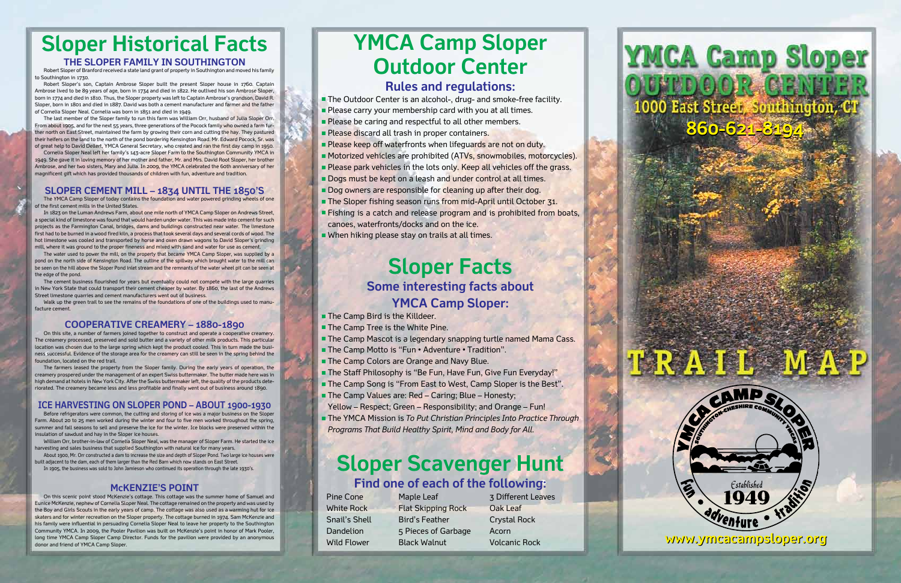# **Sloper Historical Facts**

#### **THE SLOPER FAMILY IN SOUTHINGTON**

Robert Sloper of Branford received a state land grant of property in Southington and moved his family to Southington in 1730.

Robert Sloper's son, Captain Ambrose Sloper built the present Sloper house in 1760. Captain Ambrose lived to be 89 years of age, born in 1734 and died in 1822. He outlived his son Ambrose Sloper, born in 1774 and died in 1810. Thus, the Sloper property was left to Captain Ambrose's grandson, David R. Sloper, born in 1801 and died in 1887. David was both a cement manufacturer and farmer and the father of Cornelia Sloper Neal. Cornelia was born in 1851 and died in 1949.

Cornelia Sloper Neal left her family's 143-acre Sloper Farm to the Southington Community YMCA in 1949. She gave it in loving memory of her mother and father, Mr. and Mrs. David Root Sloper, her brother Ambrose, and her two sisters, Mary and Julia. In 2009, the YMCA celebrated the 60th anniversary of her magnificent gift which has provided thousands of children with fun, adventure and tradition.

In 1823 on the Luman Andrews Farm, about one mile north of YMCA Camp Sloper on Andrews Street, a special kind of limestone was found that would harden under water. This was made into cement for such projects as the Farmington Canal, bridges, dams and buildings constructed near water. The limestone first had to be burned in a wood fired kiln, a process that took several days and several cords of wood. The hot limestone was cooled and transported by horse and oxen drawn wagons to David Sloper's grinding mill, where it was ground to the proper fineness and mixed with sand and water for use as cement.

The water used to power the mill, on the property that became YMCA Camp Sloper, was supplied by a pond on the north side of Kensington Road. The outline of the spillway which brought water to the mill can be seen on the hill above the Sloper Pond inlet stream and the remnants of the water wheel pit can be seen at the edge of the pond.

The last member of the Sloper family to run this farm was William Orr, husband of Julia Sloper Orr. From about 1905, and for the next 55 years, three generations of the Pocock family who owned a farm further north on East Street, maintained the farm by growing their corn and cutting the hay. They pastured their heifers on the land to the north of the pond bordering Kensington Road. Mr. Edward Pocock, Sr. was of great help to David Dellert, YMCA General Secretary, who created and ran the first day camp in 1950.

Walk up the green trail to see the remains of the foundations of one of the buildings used to manufacture cement.

### **SLOPER CEMENT MILL – 1834 until the 1850's**

The YMCA Camp Sloper of today contains the foundation and water powered grinding wheels of one of the first cement mills in the United States.

On this site, a number of farmers joined together to construct and operate a cooperative creamery. The creamery processed, preserved and sold butter and a variety of other milk products. This particular location was chosen due to the large spring which kept the product cooled. This in turn made the business successful. Evidence of the storage area for the creamery can still be seen in the spring behind the foundation, located on the red trail.

The cement business flourished for years but eventually could not compete with the large quarries in New York State that could transport their cement cheaper by water. By 1860, the last of the Andrews Street limestone quarries and cement manufacturers went out of business.

### **COOPERATIVE CREAMERY – 1880-1890**

- **n** The Camp Bird is the Killdeer.
- **n** The Camp Tree is the White Pine.
- **n** The Camp Mascot is a legendary snapping turtle named Mama Cass.
- The Camp Motto is "Fun Adventure Tradition".
- **n** The Camp Colors are Orange and Navy Blue.
- **The Staff Philosophy is "Be Fun, Have Fun, Give Fun Everyday!"**
- **n** The Camp Song is "From East to West, Camp Sloper is the Best".
- The Camp Values are: Red Caring; Blue Honesty;
- Yellow Respect; Green Responsibility; and Orange Fun!
- The YMCA Mission is *To Put Christian Principles Into Practice Through Programs That Build Healthy Spirit, Mind and Body for All.*

The farmers leased the property from the Sloper family. During the early years of operation, the creamery prospered under the management of an expert Swiss buttermaker. The butter made here was in high demand at hotels in New York City. After the Swiss buttermaker left, the quality of the products deteriorated. The creamery became less and less profitable and finally went out of business around 1890.

### **ICE HARVESTING ON SLOPER POND – ABOUT 1900-1930**

Before refrigerators were common, the cutting and storing of ice was a major business on the Sloper Farm. About 20 to 25 men worked during the winter and four to five men worked throughout the spring, summer and fall seasons to sell and preserve the ice for the winter. Ice blocks were preserved within the insulation of sawdust and hay in the Sloper ice houses.

William Orr, brother-in-law of Cornelia Sloper Neal, was the manager of Sloper Farm. He started the ice harvesting and sales business that supplied Southington with natural ice for many years.

About 1900, Mr. Orr constructed a dam to increase the size and depth of Sloper Pond. Two large ice houses were built adjacent to the dam, each of them larger than the Red Barn which now stands on East Street.

In 1905, the business was sold to John Jamieson who continued its operation through the late 1930's.

### **McKENZIE'S POINT**

On this scenic point stood McKenzie's cottage. This cottage was the summer home of Samuel and Eunice McKenzie, nephew of Cornelia Sloper Neal. The cottage remained on the property and was used by the Boy and Girls Scouts in the early years of camp. The cottage was also used as a warming hut for ice skaters and for winter recreation on the Sloper property. The cottage burned in 1974. Sam McKenzie and his family were influential in persuading Cornelia Sloper Neal to leave her property to the Southington Community YMCA. In 2009, the Pooler Pavilion was built on McKenzie's point in honor of Mark Pooler, long time YMCA Camp Sloper Camp Director. Funds for the pavilion were provided by an anonymous donor and friend of YMCA Camp Sloper.

# **YMCA Camp Sloper Outdoor Center**

### **Rules and regulations:**

- **n** The Outdoor Center is an alcohol-, drug- and smoke-free facility.
- $\blacksquare$  Please carry your membership card with you at all times.
- **Please be caring and respectful to all other members.**
- **Please discard all trash in proper containers.**
- **Please keep off waterfronts when lifeguards are not on duty.**
- Motorized vehicles are prohibited (ATVs, snowmobiles, motorcycles).
- **Please park vehicles in the lots only. Keep all vehicles off the grass.**
- Dogs must be kept on a leash and under control at all times.
- Dog owners are responsible for cleaning up after their dog.
- **n** The Sloper fishing season runs from mid-April until October 31.
- **Fishing is a catch and release program and is prohibited from boats,** canoes, waterfronts/docks and on the ice.
- $\blacksquare$  When hiking please stay on trails at all times.

### **Sloper Facts Some interesting facts about YMCA Camp Sloper:**

## **Sloper Scavenger Hunt Find one of each of the following:**

White Rock Flat Skipping Rock Oak Leaf Dandelion 5 Pieces of Garbage Acorn

Pine Cone Maple Leaf 3 Different Leaves Snail's Shell Bird's Feather Crystal Rock